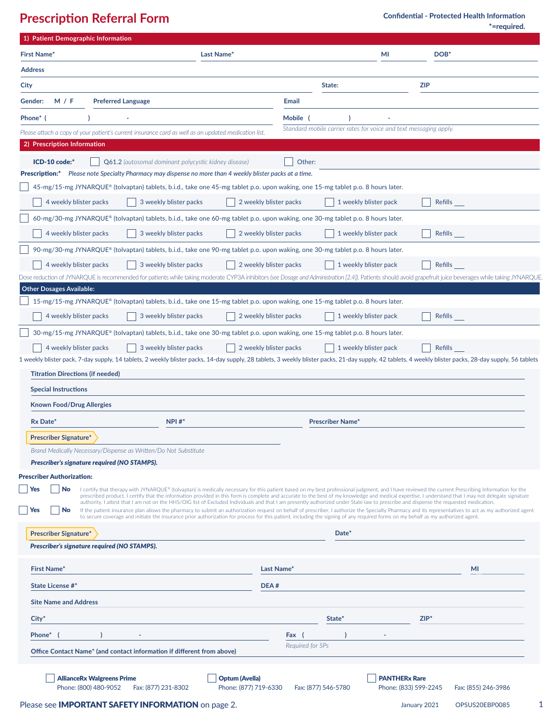**Prescription Referral Form**

**\*=required. Confidential - Protected Health Information**

| 1) Patient Demographic Information                                                                                                           |                                                                                                                                                                                                                                                                                                                                                                                                                                                                                                                                                                                                  |
|----------------------------------------------------------------------------------------------------------------------------------------------|--------------------------------------------------------------------------------------------------------------------------------------------------------------------------------------------------------------------------------------------------------------------------------------------------------------------------------------------------------------------------------------------------------------------------------------------------------------------------------------------------------------------------------------------------------------------------------------------------|
| <b>First Name*</b><br>Last Name*                                                                                                             | MI<br>DOB*                                                                                                                                                                                                                                                                                                                                                                                                                                                                                                                                                                                       |
| <b>Address</b>                                                                                                                               |                                                                                                                                                                                                                                                                                                                                                                                                                                                                                                                                                                                                  |
| City                                                                                                                                         | <b>ZIP</b><br>State:                                                                                                                                                                                                                                                                                                                                                                                                                                                                                                                                                                             |
| Gender:<br>M / F<br><b>Preferred Language</b>                                                                                                | Email                                                                                                                                                                                                                                                                                                                                                                                                                                                                                                                                                                                            |
| Phone* (                                                                                                                                     | Mobile (                                                                                                                                                                                                                                                                                                                                                                                                                                                                                                                                                                                         |
| Please attach a copy of your patient's current insurance card as well as an updated medication list.                                         | Standard mobile carrier rates for voice and text messaging apply.                                                                                                                                                                                                                                                                                                                                                                                                                                                                                                                                |
| 2) Prescription Information                                                                                                                  |                                                                                                                                                                                                                                                                                                                                                                                                                                                                                                                                                                                                  |
| ICD-10 code:*<br><b>Q61.2</b> (autosomal dominant polycystic kidney disease)                                                                 | Other:                                                                                                                                                                                                                                                                                                                                                                                                                                                                                                                                                                                           |
| <b>Prescription:*</b><br>Please note Specialty Pharmacy may dispense no more than 4 weekly blister packs at a time.                          |                                                                                                                                                                                                                                                                                                                                                                                                                                                                                                                                                                                                  |
| 45-mg/15-mg JYNARQUE® (tolvaptan) tablets, b.i.d., take one 45-mg tablet p.o. upon waking, one 15-mg tablet p.o. 8 hours later.              |                                                                                                                                                                                                                                                                                                                                                                                                                                                                                                                                                                                                  |
| 4 weekly blister packs<br>3 weekly blister packs                                                                                             | 1 weekly blister pack<br>2 weekly blister packs<br>Refills                                                                                                                                                                                                                                                                                                                                                                                                                                                                                                                                       |
| 60-mg/30-mg JYNARQUE® (tolvaptan) tablets, b.i.d., take one 60-mg tablet p.o. upon waking, one 30-mg tablet p.o. 8 hours later.              |                                                                                                                                                                                                                                                                                                                                                                                                                                                                                                                                                                                                  |
| 4 weekly blister packs<br>3 weekly blister packs                                                                                             | 2 weekly blister packs<br>1 weekly blister pack<br>Refills                                                                                                                                                                                                                                                                                                                                                                                                                                                                                                                                       |
| 90-mg/30-mg JYNARQUE® (tolvaptan) tablets, b.i.d., take one 90-mg tablet p.o. upon waking, one 30-mg tablet p.o. 8 hours later.              |                                                                                                                                                                                                                                                                                                                                                                                                                                                                                                                                                                                                  |
| 3 weekly blister packs<br>4 weekly blister packs                                                                                             | 2 weekly blister packs<br>1 weekly blister pack<br>Refills                                                                                                                                                                                                                                                                                                                                                                                                                                                                                                                                       |
|                                                                                                                                              | Dose reduction of JYNARQUE is recommended for patients while taking moderate CYP3A inhibitors (see Dosage and Administration [2.4]). Patients should avoid grapefruit juice beverages while taking JYNARQUE                                                                                                                                                                                                                                                                                                                                                                                      |
| <b>Other Dosages Available:</b>                                                                                                              |                                                                                                                                                                                                                                                                                                                                                                                                                                                                                                                                                                                                  |
| 15-mg/15-mg JYNARQUE® (tolvaptan) tablets, b.i.d., take one 15-mg tablet p.o. upon waking, one 15-mg tablet p.o. 8 hours later.              |                                                                                                                                                                                                                                                                                                                                                                                                                                                                                                                                                                                                  |
| 4 weekly blister packs<br>3 weekly blister packs                                                                                             | 2 weekly blister packs<br>1 weekly blister pack<br>Refills                                                                                                                                                                                                                                                                                                                                                                                                                                                                                                                                       |
| 30-mg/15-mg JYNARQUE® (tolvaptan) tablets, b.i.d., take one 30-mg tablet p.o. upon waking, one 15-mg tablet p.o. 8 hours later.              |                                                                                                                                                                                                                                                                                                                                                                                                                                                                                                                                                                                                  |
| 4 weekly blister packs<br>3 weekly blister packs                                                                                             | 2 weekly blister packs<br>1 weekly blister pack<br>Refills                                                                                                                                                                                                                                                                                                                                                                                                                                                                                                                                       |
|                                                                                                                                              | 1 weekly blister pack, 7-day supply, 14 tablets, 2 weekly blister packs, 14-day supply, 28 tablets, 3 weekly blister packs, 21-day supply, 42 tablets, 4 weekly blister packs, 28-day supply, 56 tablets                                                                                                                                                                                                                                                                                                                                                                                         |
| <b>Titration Directions (if needed)</b>                                                                                                      |                                                                                                                                                                                                                                                                                                                                                                                                                                                                                                                                                                                                  |
| <b>Special Instructions</b>                                                                                                                  |                                                                                                                                                                                                                                                                                                                                                                                                                                                                                                                                                                                                  |
| <b>Known Food/Drug Allergies</b>                                                                                                             |                                                                                                                                                                                                                                                                                                                                                                                                                                                                                                                                                                                                  |
| Rx Date*<br>$NPI #*$                                                                                                                         | <b>Prescriber Name*</b>                                                                                                                                                                                                                                                                                                                                                                                                                                                                                                                                                                          |
| <b>Prescriber Signature*</b>                                                                                                                 |                                                                                                                                                                                                                                                                                                                                                                                                                                                                                                                                                                                                  |
| Brand Medically Necessary/Dispense as Written/Do Not Substitute                                                                              |                                                                                                                                                                                                                                                                                                                                                                                                                                                                                                                                                                                                  |
| Prescriber's signature required (NO STAMPS).                                                                                                 |                                                                                                                                                                                                                                                                                                                                                                                                                                                                                                                                                                                                  |
| <b>Prescriber Authorization:</b>                                                                                                             |                                                                                                                                                                                                                                                                                                                                                                                                                                                                                                                                                                                                  |
| Yes<br><b>No</b>                                                                                                                             | I certify that therapy with JYNARQUE® (tolvaptan) is medically necessary for this patient based on my best professional judgment, and I have reviewed the current Prescribing Information for the<br>prescribed product. I certify that the information provided in this form is complete and accurate to the best of my knowledge and medical expertise. I understand that I may not delegate signature<br>authority. I attest that I am not on the HHS/OIG list of Excluded Individuals and that I am presently authorized under State law to prescribe and dispense the requested medication. |
| Yes<br>No                                                                                                                                    | If the patient insurance plan allows the pharmacy to submit an authorization request on behalf of prescriber, I authorize the Specialty Pharmacy and its representatives to act as my authorized agent<br>to secure coverage and initiate the insurance prior authorization for process for this patient, including the signing of any required forms on my behalf as my authorized agent.                                                                                                                                                                                                       |
|                                                                                                                                              |                                                                                                                                                                                                                                                                                                                                                                                                                                                                                                                                                                                                  |
| <b>Prescriber Signature*</b>                                                                                                                 | Date*                                                                                                                                                                                                                                                                                                                                                                                                                                                                                                                                                                                            |
| Prescriber's signature required (NO STAMPS).                                                                                                 |                                                                                                                                                                                                                                                                                                                                                                                                                                                                                                                                                                                                  |
| <b>First Name*</b>                                                                                                                           | MI<br>Last Name*                                                                                                                                                                                                                                                                                                                                                                                                                                                                                                                                                                                 |
| <b>State License #*</b>                                                                                                                      | DEA#                                                                                                                                                                                                                                                                                                                                                                                                                                                                                                                                                                                             |
| <b>Site Name and Address</b>                                                                                                                 |                                                                                                                                                                                                                                                                                                                                                                                                                                                                                                                                                                                                  |
| $City^*$                                                                                                                                     | $ZIP^*$<br>State*                                                                                                                                                                                                                                                                                                                                                                                                                                                                                                                                                                                |
| Phone*                                                                                                                                       | Fax (                                                                                                                                                                                                                                                                                                                                                                                                                                                                                                                                                                                            |
|                                                                                                                                              | Required for SPs                                                                                                                                                                                                                                                                                                                                                                                                                                                                                                                                                                                 |
| Office Contact Name* (and contact information if different from above)                                                                       |                                                                                                                                                                                                                                                                                                                                                                                                                                                                                                                                                                                                  |
| <b>PANTHERx Rare</b><br><b>AllianceRx Walgreens Prime</b><br><b>Optum (Avella)</b>                                                           |                                                                                                                                                                                                                                                                                                                                                                                                                                                                                                                                                                                                  |
| Phone: (800) 480-9052<br>Phone: (877) 719-6330<br>Phone: (833) 599-2245<br>Fax: (877) 231-8302<br>Fax: (877) 546-5780<br>Fax: (855) 246-3986 |                                                                                                                                                                                                                                                                                                                                                                                                                                                                                                                                                                                                  |
| Please see <b>IMPORTANT SAFETY INFORMATION</b> on page 2.<br>1<br>OPSUS20EBP0085<br>January 2021                                             |                                                                                                                                                                                                                                                                                                                                                                                                                                                                                                                                                                                                  |